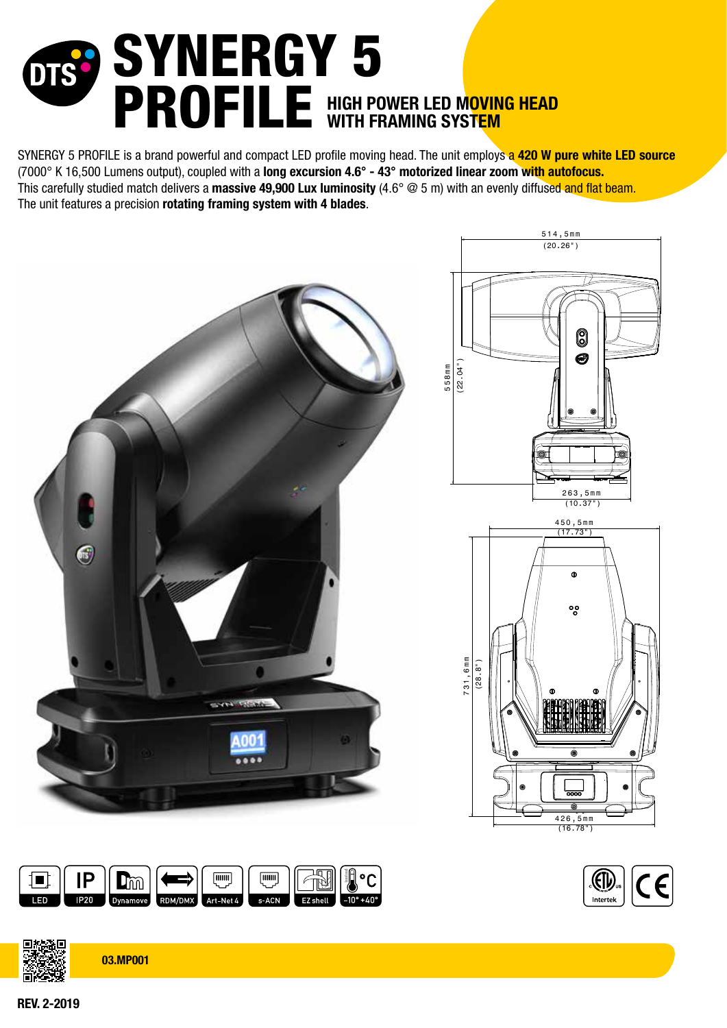# SYNERGY 5 PROFILE HIGH POWER LED MOVING HEAD

SYNERGY 5 PROFILE is a brand powerful and compact LED profile moving head. The unit employs a 420 W pure white LED source (7000° K 16,500 Lumens output), coupled with a long excursion 4.6° - 43° motorized linear zoom with autofocus. This carefully studied match delivers a **massive 49.900 Lux luminosity** (4.6 $^{\circ}$  @ 5 m) with an evenly diffused and flat beam. The unit features a precision rotating framing system with 4 blades.







⅂ℿ

 $\Gamma$ m

 $\overline{mm}$ 

**Tilliti** 

REV. 2-2019